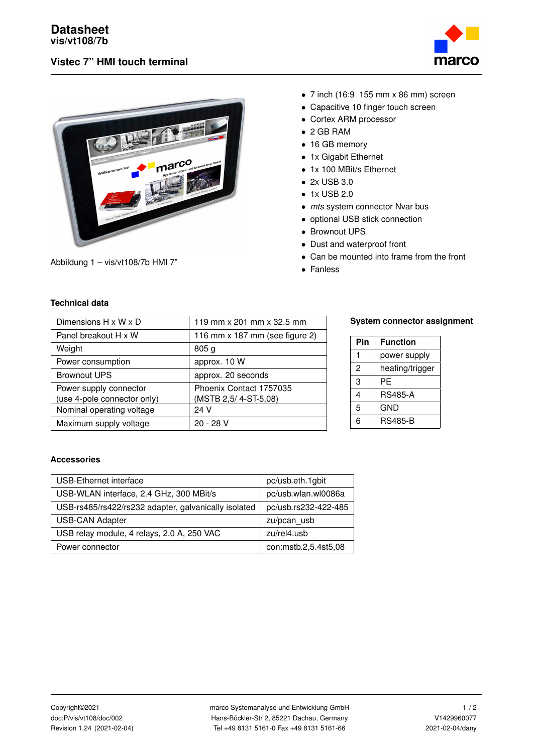



Abbildung 1 – vis/vt108/7b HMI 7"

- 7 inch (16:9 155 mm x 86 mm) screen
- Capacitive 10 finger touch screen
- Cortex ARM processor
- 2 GB RAM
- 16 GB memory
- 1x Gigabit Ethernet
- 1x 100 MBit/s Ethernet
- 2x USB 3.0
- 1x USB 2.0
- *mts* system connector Nvar bus
- optional USB stick connection
- Brownout UPS
- Dust and waterproof front
- Can be mounted into frame from the front
- Fanless

## **Technical data**

| Dimensions $H \times W \times D$ | 119 mm x 201 mm x 32.5 mm      |
|----------------------------------|--------------------------------|
| Panel breakout H x W             | 116 mm x 187 mm (see figure 2) |
| Weight                           | 805 <sub>g</sub>               |
| Power consumption                | approx. 10 W                   |
| <b>Brownout UPS</b>              | approx. 20 seconds             |
| Power supply connector           | Phoenix Contact 1757035        |
| (use 4-pole connector only)      | (MSTB 2,5/4-ST-5,08)           |
| Nominal operating voltage        | 24 V                           |
| Maximum supply voltage           | 20 - 28 V                      |

#### **System connector assignment**

| Pin            | <b>Function</b> |  |  |
|----------------|-----------------|--|--|
| 1              | power supply    |  |  |
| $\mathfrak{p}$ | heating/trigger |  |  |
| 3              | РF              |  |  |
| 4              | <b>RS485-A</b>  |  |  |
| 5              | <b>GND</b>      |  |  |
| 6              | <b>RS485-B</b>  |  |  |

## **Accessories**

| USB-Ethernet interface                               | pc/usb.eth.1gbit     |  |
|------------------------------------------------------|----------------------|--|
| USB-WLAN interface, 2.4 GHz, 300 MBit/s              | pc/usb.wlan.wl0086a  |  |
| USB-rs485/rs422/rs232 adapter, galvanically isolated | pc/usb.rs232-422-485 |  |
| <b>USB-CAN Adapter</b>                               | zu/pcan usb          |  |
| USB relay module, 4 relays, 2.0 A, 250 VAC           | zu/rel4.usb          |  |
| Power connector                                      | con:mstb.2,5.4st5,08 |  |